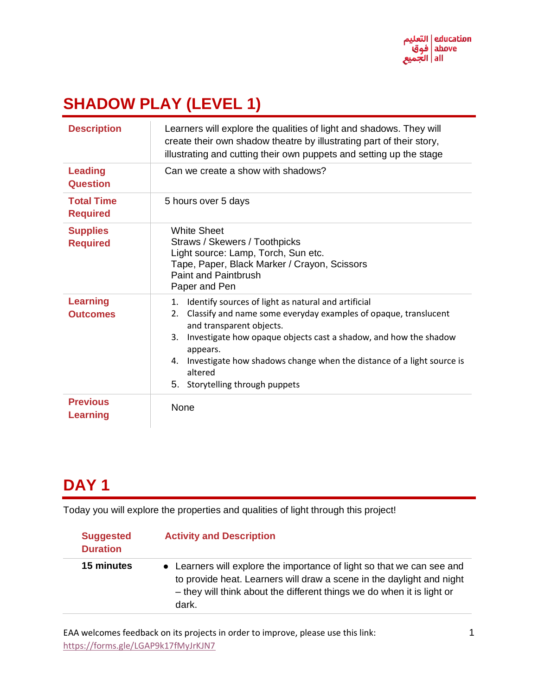

# **SHADOW PLAY (LEVEL 1)**

| <b>Description</b>                   | Learners will explore the qualities of light and shadows. They will<br>create their own shadow theatre by illustrating part of their story,<br>illustrating and cutting their own puppets and setting up the stage                                                                                                                                                                |
|--------------------------------------|-----------------------------------------------------------------------------------------------------------------------------------------------------------------------------------------------------------------------------------------------------------------------------------------------------------------------------------------------------------------------------------|
| <b>Leading</b><br><b>Question</b>    | Can we create a show with shadows?                                                                                                                                                                                                                                                                                                                                                |
| <b>Total Time</b><br><b>Required</b> | 5 hours over 5 days                                                                                                                                                                                                                                                                                                                                                               |
| <b>Supplies</b><br><b>Required</b>   | <b>White Sheet</b><br>Straws / Skewers / Toothpicks<br>Light source: Lamp, Torch, Sun etc.<br>Tape, Paper, Black Marker / Crayon, Scissors<br><b>Paint and Paintbrush</b><br>Paper and Pen                                                                                                                                                                                        |
| <b>Learning</b><br><b>Outcomes</b>   | Identify sources of light as natural and artificial<br>1.<br>Classify and name some everyday examples of opaque, translucent<br>2.<br>and transparent objects.<br>Investigate how opaque objects cast a shadow, and how the shadow<br>3.<br>appears.<br>Investigate how shadows change when the distance of a light source is<br>4.<br>altered<br>5. Storytelling through puppets |
| <b>Previous</b><br><b>Learning</b>   | None                                                                                                                                                                                                                                                                                                                                                                              |

## **DAY 1**

Today you will explore the properties and qualities of light through this project!

| <b>Suggested</b><br><b>Duration</b> | <b>Activity and Description</b>                                                                                                                                                                                                    |
|-------------------------------------|------------------------------------------------------------------------------------------------------------------------------------------------------------------------------------------------------------------------------------|
| 15 minutes                          | • Learners will explore the importance of light so that we can see and<br>to provide heat. Learners will draw a scene in the daylight and night<br>- they will think about the different things we do when it is light or<br>dark. |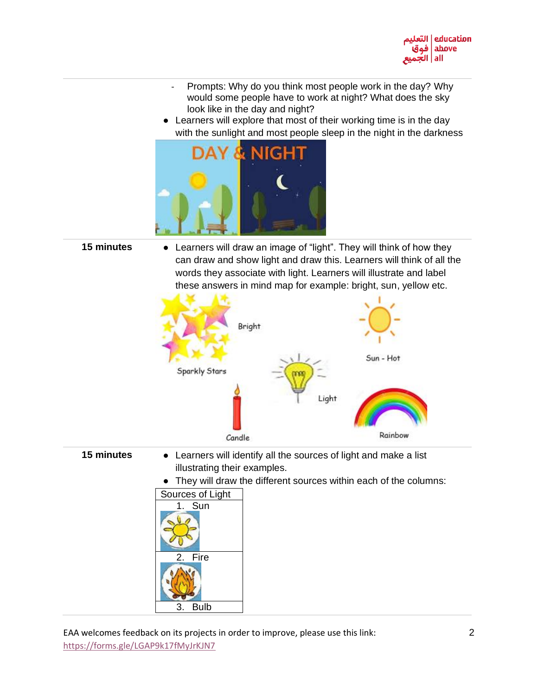

- Prompts: Why do you think most people work in the day? Why would some people have to work at night? What does the sky look like in the day and night?
- Learners will explore that most of their working time is in the day with the sunlight and most people sleep in the night in the darkness



**15 minutes** • Learners will draw an image of "light". They will think of how they can draw and show light and draw this. Learners will think of all the words they associate with light. Learners will illustrate and label these answers in mind map for example: bright, sun, yellow etc.



- **15 minutes** Learners will identify all the sources of light and make a list illustrating their examples.
	- They will draw the different sources within each of the columns:

| Sources of Light  |
|-------------------|
| Sun<br>1.         |
|                   |
|                   |
|                   |
| Fire<br>2.        |
|                   |
|                   |
|                   |
|                   |
|                   |
| <b>Bulb</b><br>З. |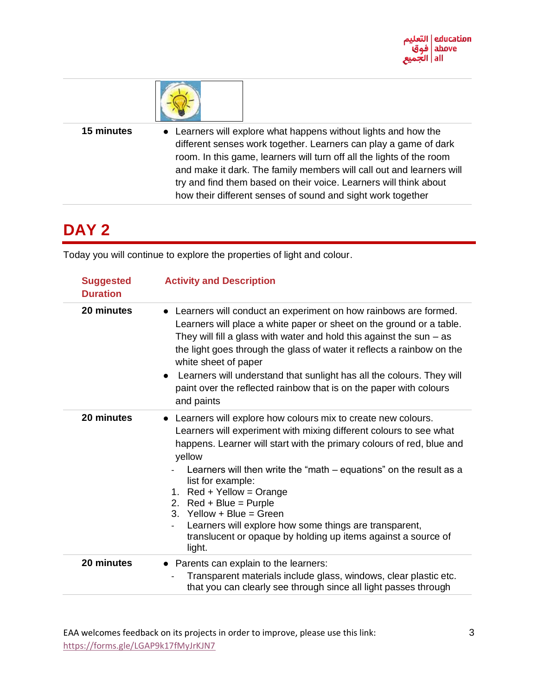



15 minutes • Learners will explore what happens without lights and how the different senses work together. Learners can play a game of dark room. In this game, learners will turn off all the lights of the room and make it dark. The family members will call out and learners will try and find them based on their voice. Learners will think about how their different senses of sound and sight work together

### **DAY 2**

Today you will continue to explore the properties of light and colour.

| <b>Suggested</b><br><b>Duration</b> | <b>Activity and Description</b>                                                                                                                                                                                                                                                                                                                                                                                                                                                                                                                                           |
|-------------------------------------|---------------------------------------------------------------------------------------------------------------------------------------------------------------------------------------------------------------------------------------------------------------------------------------------------------------------------------------------------------------------------------------------------------------------------------------------------------------------------------------------------------------------------------------------------------------------------|
| 20 minutes                          | • Learners will conduct an experiment on how rainbows are formed.<br>Learners will place a white paper or sheet on the ground or a table.<br>They will fill a glass with water and hold this against the sun $-$ as<br>the light goes through the glass of water it reflects a rainbow on the<br>white sheet of paper<br>• Learners will understand that sunlight has all the colours. They will<br>paint over the reflected rainbow that is on the paper with colours<br>and paints                                                                                      |
| 20 minutes                          | • Learners will explore how colours mix to create new colours.<br>Learners will experiment with mixing different colours to see what<br>happens. Learner will start with the primary colours of red, blue and<br>yellow<br>Learners will then write the "math $-$ equations" on the result as a<br>list for example:<br>1. $Red + Yellow = Orange$<br>2. $Red + Blue = Pure$<br>3. Yellow + Blue = Green<br>Learners will explore how some things are transparent,<br>$\overline{\phantom{0}}$<br>translucent or opaque by holding up items against a source of<br>light. |
| 20 minutes                          | • Parents can explain to the learners:<br>Transparent materials include glass, windows, clear plastic etc.<br>that you can clearly see through since all light passes through                                                                                                                                                                                                                                                                                                                                                                                             |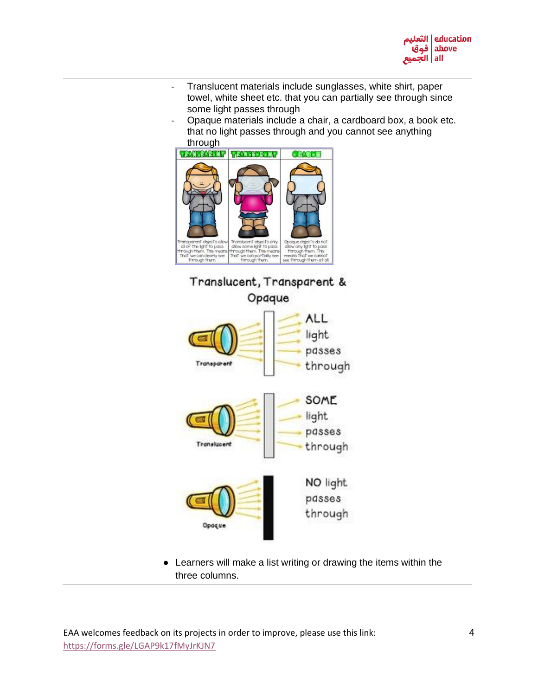

- Translucent materials include sunglasses, white shirt, paper towel, white sheet etc. that you can partially see through since some light passes through
- Opaque materials include a chair, a cardboard box, a book etc. that no light passes through and you cannot see anything through





● Learners will make a list writing or drawing the items within the three columns.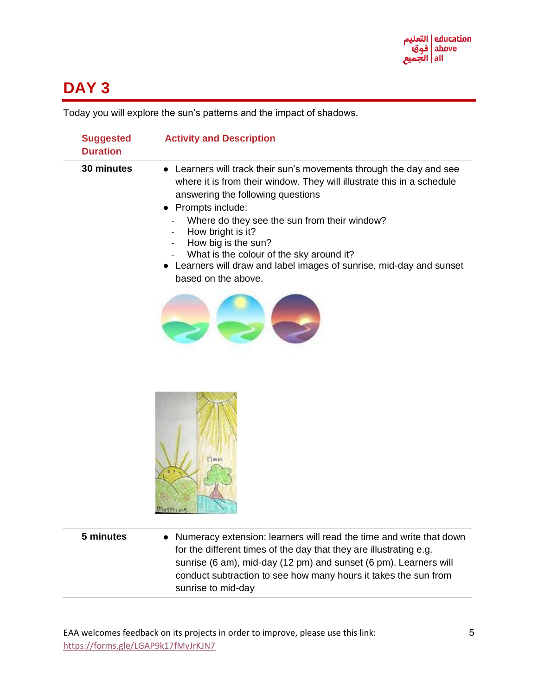

### **DAY 3**

Today you will explore the sun's patterns and the impact of shadows.

| <b>Suggested</b><br><b>Duration</b> | <b>Activity and Description</b>                                                                                                                                                                                                                                                                                                                                                                                                           |
|-------------------------------------|-------------------------------------------------------------------------------------------------------------------------------------------------------------------------------------------------------------------------------------------------------------------------------------------------------------------------------------------------------------------------------------------------------------------------------------------|
| 30 minutes                          | Learners will track their sun's movements through the day and see<br>where it is from their window. They will illustrate this in a schedule<br>answering the following questions<br>Prompts include:<br>Where do they see the sun from their window?<br>How bright is it?<br>How big is the sun?<br>What is the colour of the sky around it?<br>Learners will draw and label images of sunrise, mid-day and sunset<br>based on the above. |
|                                     |                                                                                                                                                                                                                                                                                                                                                                                                                                           |
|                                     |                                                                                                                                                                                                                                                                                                                                                                                                                                           |
| 5 minutes                           | Numeracy extension: learners will read the time and write that down<br>for the different times of the day that they are illustrating e.g.<br>sunrise (6 am), mid-day (12 pm) and sunset (6 pm). Learners will<br>conduct subtraction to see how many hours it takes the sun from<br>sunrise to mid-day                                                                                                                                    |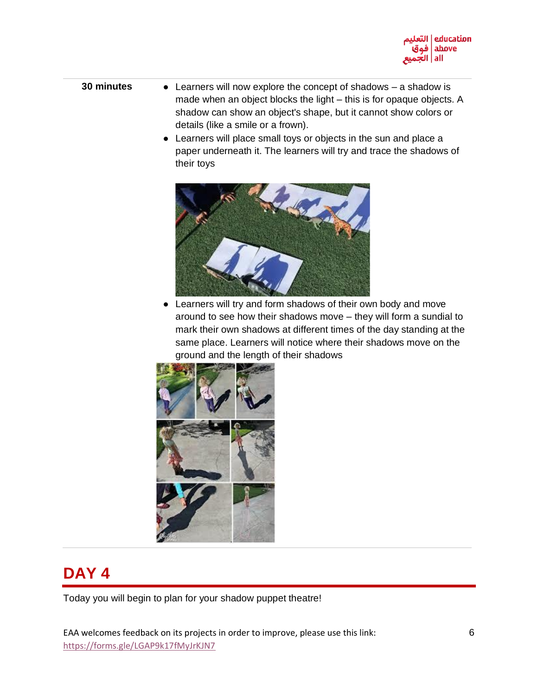

- **30 minutes** Learners will now explore the concept of shadows a shadow is made when an object blocks the light – this is for opaque objects. A shadow can show an object's shape, but it cannot show colors or details (like a smile or a frown).
	- Learners will place small toys or objects in the sun and place a paper underneath it. The learners will try and trace the shadows of their toys



• Learners will try and form shadows of their own body and move around to see how their shadows move – they will form a sundial to mark their own shadows at different times of the day standing at the same place. Learners will notice where their shadows move on the ground and the length of their shadows



## **DAY 4**

Today you will begin to plan for your shadow puppet theatre!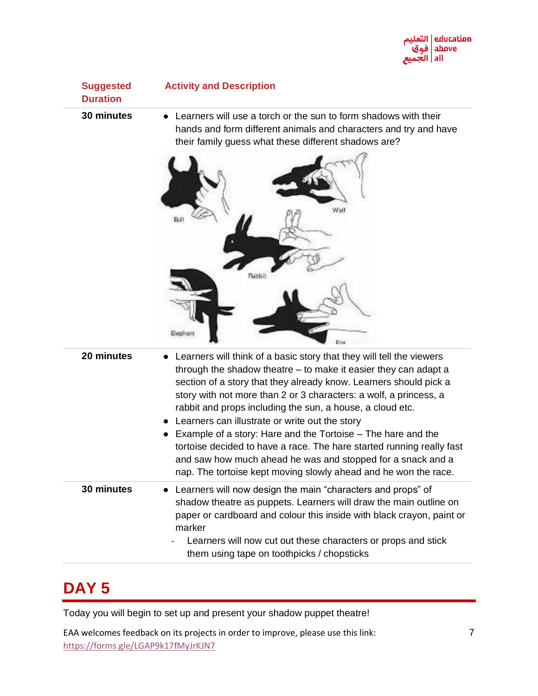

**Suggested Duration**

**Activity and Description**

**30 minutes** • Learners will use a torch or the sun to form shadows with their hands and form different animals and characters and try and have their family guess what these different shadows are?



| 20 minutes | • Learners will think of a basic story that they will tell the viewers<br>through the shadow theatre $-$ to make it easier they can adapt a<br>section of a story that they already know. Learners should pick a<br>story with not more than 2 or 3 characters: a wolf, a princess, a<br>rabbit and props including the sun, a house, a cloud etc.<br>• Learners can illustrate or write out the story<br>Example of a story: Hare and the Tortoise – The hare and the<br>tortoise decided to have a race. The hare started running really fast<br>and saw how much ahead he was and stopped for a snack and a<br>nap. The tortoise kept moving slowly ahead and he won the race. |
|------------|-----------------------------------------------------------------------------------------------------------------------------------------------------------------------------------------------------------------------------------------------------------------------------------------------------------------------------------------------------------------------------------------------------------------------------------------------------------------------------------------------------------------------------------------------------------------------------------------------------------------------------------------------------------------------------------|
| 30 minutes | • Learners will now design the main "characters and props" of<br>shadow theatre as puppets. Learners will draw the main outline on<br>paper or cardboard and colour this inside with black crayon, paint or<br>marker<br>Learners will now cut out these characters or props and stick<br>them using tape on toothpicks / chopsticks                                                                                                                                                                                                                                                                                                                                              |

#### **DAY 5**

Today you will begin to set up and present your shadow puppet theatre!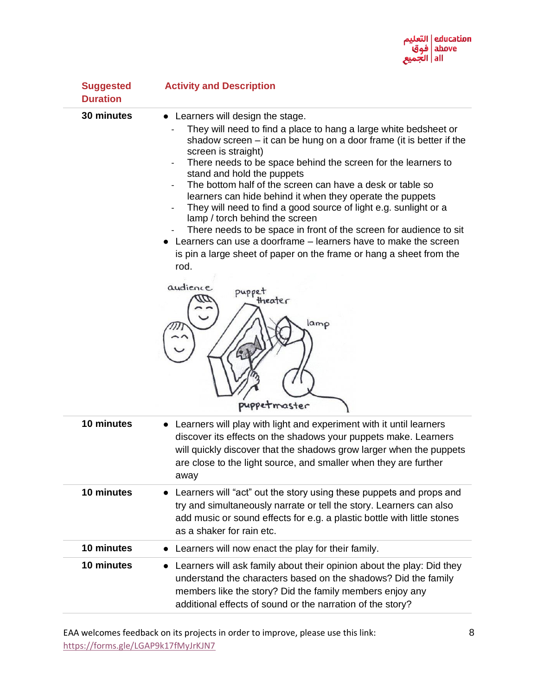

| <b>Suggested</b><br><b>Duration</b> | <b>Activity and Description</b>                                                                                                                                                                                                                                                                                                                                                                                                                                                                                                                                                                                                                                                                                                                                                                                     |
|-------------------------------------|---------------------------------------------------------------------------------------------------------------------------------------------------------------------------------------------------------------------------------------------------------------------------------------------------------------------------------------------------------------------------------------------------------------------------------------------------------------------------------------------------------------------------------------------------------------------------------------------------------------------------------------------------------------------------------------------------------------------------------------------------------------------------------------------------------------------|
| 30 minutes                          | Learners will design the stage.<br>They will need to find a place to hang a large white bedsheet or<br>shadow screen $-$ it can be hung on a door frame (it is better if the<br>screen is straight)<br>There needs to be space behind the screen for the learners to<br>stand and hold the puppets<br>The bottom half of the screen can have a desk or table so<br>learners can hide behind it when they operate the puppets<br>They will need to find a good source of light e.g. sunlight or a<br>lamp / torch behind the screen<br>There needs to be space in front of the screen for audience to sit<br>Learners can use a doorframe – learners have to make the screen<br>is pin a large sheet of paper on the frame or hang a sheet from the<br>rod.<br>audience<br>puppet<br>theater<br>lamp<br>puppetmaster |
| 10 minutes                          | Learners will play with light and experiment with it until learners<br>discover its effects on the shadows your puppets make. Learners<br>will quickly discover that the shadows grow larger when the puppets<br>are close to the light source, and smaller when they are further<br>away                                                                                                                                                                                                                                                                                                                                                                                                                                                                                                                           |
| 10 minutes                          | Learners will "act" out the story using these puppets and props and<br>try and simultaneously narrate or tell the story. Learners can also<br>add music or sound effects for e.g. a plastic bottle with little stones<br>as a shaker for rain etc.                                                                                                                                                                                                                                                                                                                                                                                                                                                                                                                                                                  |
| 10 minutes                          | Learners will now enact the play for their family.                                                                                                                                                                                                                                                                                                                                                                                                                                                                                                                                                                                                                                                                                                                                                                  |
| 10 minutes                          | Learners will ask family about their opinion about the play: Did they<br>$\bullet$<br>understand the characters based on the shadows? Did the family<br>members like the story? Did the family members enjoy any<br>additional effects of sound or the narration of the story?                                                                                                                                                                                                                                                                                                                                                                                                                                                                                                                                      |